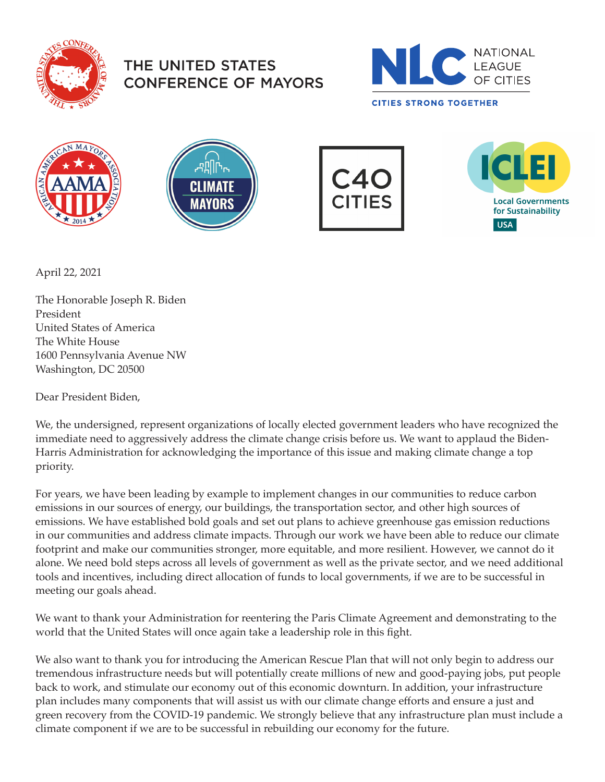

## THE UNITED STATES **CONFERENCE OF MAYORS**











April 22, 2021

The Honorable Joseph R. Biden President United States of America The White House 1600 Pennsylvania Avenue NW Washington, DC 20500

Dear President Biden,

We, the undersigned, represent organizations of locally elected government leaders who have recognized the immediate need to aggressively address the climate change crisis before us. We want to applaud the Biden-Harris Administration for acknowledging the importance of this issue and making climate change a top priority.

For years, we have been leading by example to implement changes in our communities to reduce carbon emissions in our sources of energy, our buildings, the transportation sector, and other high sources of emissions. We have established bold goals and set out plans to achieve greenhouse gas emission reductions in our communities and address climate impacts. Through our work we have been able to reduce our climate footprint and make our communities stronger, more equitable, and more resilient. However, we cannot do it alone. We need bold steps across all levels of government as well as the private sector, and we need additional tools and incentives, including direct allocation of funds to local governments, if we are to be successful in meeting our goals ahead.

We want to thank your Administration for reentering the Paris Climate Agreement and demonstrating to the world that the United States will once again take a leadership role in this fight.

We also want to thank you for introducing the American Rescue Plan that will not only begin to address our tremendous infrastructure needs but will potentially create millions of new and good-paying jobs, put people back to work, and stimulate our economy out of this economic downturn. In addition, your infrastructure plan includes many components that will assist us with our climate change efforts and ensure a just and green recovery from the COVID-19 pandemic. We strongly believe that any infrastructure plan must include a climate component if we are to be successful in rebuilding our economy for the future.